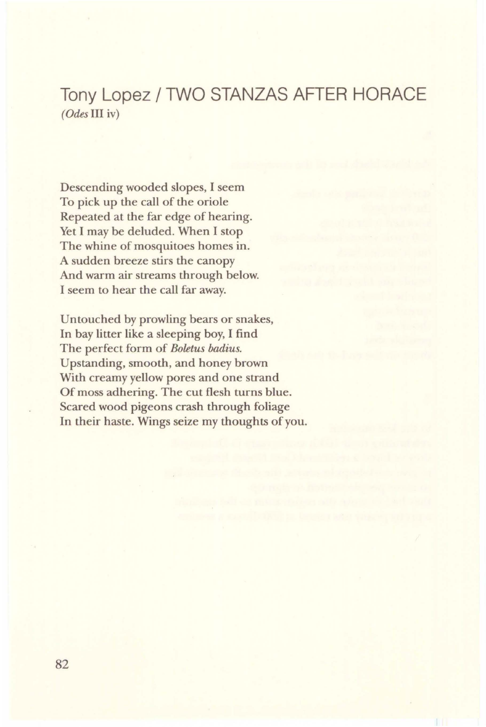## **Tony Lopez/ TWO STANZAS AFTER HORACE**  *(Odes* III iv)

Descending wooded slopes, I seem To pick up the call of the oriole Repeated at the far edge of hearing. Yet I may be deluded. When I stop The whine of mosquitoes homes in. A sudden breeze stirs the canopy And warm air streams through below. I seem to hear the call far away.

Untouched by prowling bears or snakes, In bay litter like a sleeping boy, I find The perfect form of *Boletus badius.*  Upstanding, smooth, and honey brown With creamy yellow pores and one strand Of moss adhering. The cut flesh turns blue. Scared wood pigeons crash through foliage In their haste. Wings seize my thoughts of you.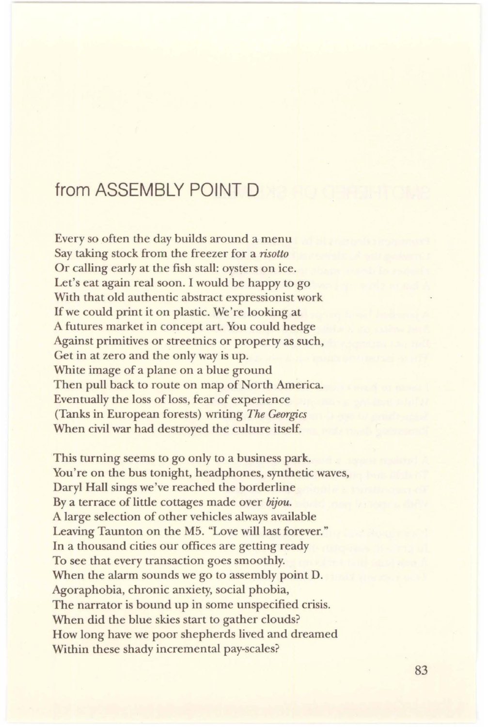## from ASSEMBLY POINT D

Every so often the day builds around a menu Say taking stock from the freezer for a *risotto*  Or calling early at the fish stall: oysters on ice. Let's eat again real soon. I would be happy to go With that old authentic abstract expressionist work If we could print it on plastic. We're looking at A futures market in concept art. You could hedge Against primitives or streetnics or property as such, Get in at zero and the only way is up. White image of a plane on a blue ground Then pull back to route on map of North America. Eventually the loss of loss, fear of experience (Tanks in European forests) writing *The Georgics* When civil war had destroyed the culture itself.

This turning seems to go only to a business park. You're on the bus tonight, headphones, synthetic waves, Daryl Hall sings we've reached the borderline By a terrace of little cottages made over *bijou.*  A large selection of other vehicles always available Leaving Taunton on the M5. "Love will last forever." In a thousand cities our offices are getting ready To see that every transaction goes smoothly. When the alarm sounds we go to assembly point D. Agoraphobia, chronic anxiety, social phobia, The narrator is bound up in some unspecified crisis. When did the blue skies start to gather clouds? How long have we poor shepherds lived and dreamed Within these shady incremental pay-scales?

83